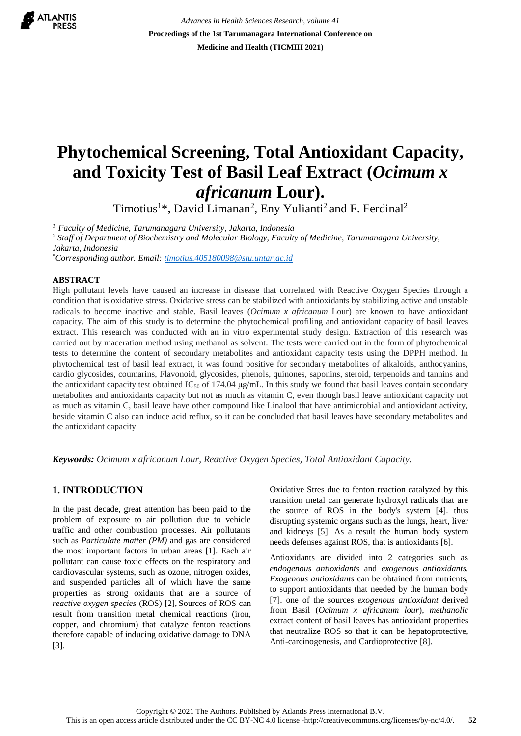

*Advances in Health Sciences Research, volume 41* **Proceedings of the 1st Tarumanagara International Conference on Medicine and Health (TICMIH 2021)**

# **Phytochemical Screening, Total Antioxidant Capacity, and Toxicity Test of Basil Leaf Extract (***Ocimum x africanum* **Lour).**

Timotius<sup>1</sup>\*, David Limanan<sup>2</sup>, Eny Yulianti<sup>2</sup> and F. Ferdinal<sup>2</sup>

*<sup>1</sup>Faculty of Medicine, Tarumanagara University, Jakarta, Indonesia* 

*<sup>2</sup> Staff of Department of Biochemistry and Molecular Biology, Faculty of Medicine, Tarumanagara University, Jakarta, Indonesia*

*\*Corresponding author. Email[: timotius.405180098@stu.untar.ac.id](mailto:timotius.405180098@stu.untar.ac.id)*

## **ABSTRACT**

High pollutant levels have caused an increase in disease that correlated with Reactive Oxygen Species through a condition that is oxidative stress. Oxidative stress can be stabilized with antioxidants by stabilizing active and unstable radicals to become inactive and stable. Basil leaves (*Ocimum x africanum* Lour) are known to have antioxidant capacity. The aim of this study is to determine the phytochemical profiling and antioxidant capacity of basil leaves extract. This research was conducted with an in vitro experimental study design. Extraction of this research was carried out by maceration method using methanol as solvent. The tests were carried out in the form of phytochemical tests to determine the content of secondary metabolites and antioxidant capacity tests using the DPPH method. In phytochemical test of basil leaf extract, it was found positive for secondary metabolites of alkaloids, anthocyanins, cardio glycosides, coumarins, Flavonoid, glycosides, phenols, quinones, saponins, steroid, terpenoids and tannins and the antioxidant capacity test obtained  $IC_{50}$  of 174.04  $\mu$ g/mL. In this study we found that basil leaves contain secondary metabolites and antioxidants capacity but not as much as vitamin C, even though basil leave antioxidant capacity not as much as vitamin C, basil leave have other compound like Linalool that have antimicrobial and antioxidant activity, beside vitamin C also can induce acid reflux, so it can be concluded that basil leaves have secondary metabolites and the antioxidant capacity.

*Keywords: Ocimum x africanum Lour, Reactive Oxygen Species, Total Antioxidant Capacity.*

# **1. INTRODUCTION**

In the past decade, great attention has been paid to the problem of exposure to air pollution due to vehicle traffic and other combustion processes. Air pollutants such as *Particulate matter (PM)* and gas are considered the most important factors in urban areas [1]. Each air pollutant can cause toxic effects on the respiratory and cardiovascular systems, such as ozone, nitrogen oxides, and suspended particles all of which have the same properties as strong oxidants that are a source of *reactive oxygen species* (ROS) [2], Sources of ROS can result from transition metal chemical reactions (iron, copper, and chromium) that catalyze fenton reactions therefore capable of inducing oxidative damage to DNA [3].

Oxidative Stres due to fenton reaction catalyzed by this transition metal can generate hydroxyl radicals that are the source of ROS in the body's system [4]. thus disrupting systemic organs such as the lungs, heart, liver and kidneys [5]. As a result the human body system needs defenses against ROS, that is antioxidants [6].

Antioxidants are divided into 2 categories such as *endogenous antioxidants* and *exogenous antioxidants. Exogenous antioxidants* can be obtained from nutrients, to support antioxidants that needed by the human body [7]. one of the sources *exogenous antioxidant* derived from Basil (*Ocimum x africanum lour*), *methanolic* extract content of basil leaves has antioxidant properties that neutralize ROS so that it can be hepatoprotective, Anti-carcinogenesis, and Cardioprotective [8].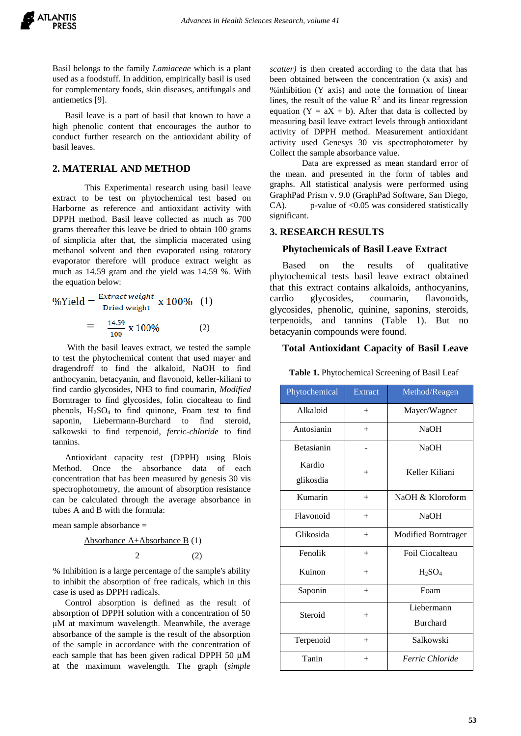Basil belongs to the family *Lamiaceae* which is a plant used as a foodstuff. In addition, empirically basil is used for complementary foods, skin diseases, antifungals and antiemetics [9].

Basil leave is a part of basil that known to have a high phenolic content that encourages the author to conduct further research on the antioxidant ability of basil leaves.

# **2. MATERIAL AND METHOD**

This Experimental research using basil leave extract to be test on phytochemical test based on Harborne as reference and antioxidant activity with DPPH method. Basil leave collected as much as 700 grams thereafter this leave be dried to obtain 100 grams of simplicia after that, the simplicia macerated using methanol solvent and then evaporated using rotatory evaporator therefore will produce extract weight as much as 14.59 gram and the yield was 14.59 %. With the equation below:

%Yield = 
$$
\frac{\text{Extract weight}}{\text{Dried weight}}
$$
 x 100% (1)  
=  $\frac{14.59}{100}$  x 100% (2)

With the basil leaves extract, we tested the sample to test the phytochemical content that used mayer and dragendroff to find the alkaloid, NaOH to find anthocyanin, betacyanin, and flavonoid, keller-kiliani to find cardio glycosides, NH3 to find coumarin, *Modified* Borntrager to find glycosides, folin ciocalteau to find phenols, H<sub>2</sub>SO<sub>4</sub> to find quinone, Foam test to find saponin, Liebermann-Burchard to find steroid, salkowski to find terpenoid, *ferric-chloride* to find tannins.

Antioxidant capacity test (DPPH) using Blois Method. Once the absorbance data of each concentration that has been measured by genesis 30 vis spectrophotometry, the amount of absorption resistance can be calculated through the average absorbance in tubes A and B with the formula:

mean sample absorbance =

Absorbance A+Absorbance B (1)

$$
2 \t(2)
$$

% Inhibition is a large percentage of the sample's ability to inhibit the absorption of free radicals, which in this case is used as DPPH radicals.

Control absorption is defined as the result of absorption of DPPH solution with a concentration of 50 μM at maximum wavelength. Meanwhile, the average absorbance of the sample is the result of the absorption of the sample in accordance with the concentration of each sample that has been given radical DPPH 50 μM at the maximum wavelength. The graph (*simple* 

*scatter)* is then created according to the data that has been obtained between the concentration (x axis) and %inhibition (Y axis) and note the formation of linear lines, the result of the value  $\mathbb{R}^2$  and its linear regression equation  $(Y = aX + b)$ . After that data is collected by measuring basil leave extract levels through antioxidant activity of DPPH method. Measurement antioxidant activity used Genesys 30 vis spectrophotometer by Collect the sample absorbance value.

Data are expressed as mean standard error of the mean. and presented in the form of tables and graphs. All statistical analysis were performed using GraphPad Prism v. 9.0 (GraphPad Software, San Diego, CA). p-value of  $< 0.05$  was considered statistically significant.

# **3. RESEARCH RESULTS**

## **Phytochemicals of Basil Leave Extract**

Based on the results of qualitative phytochemical tests basil leave extract obtained that this extract contains alkaloids, anthocyanins, cardio glycosides, coumarin, flavonoids, glycosides, phenolic, quinine, saponins, steroids, terpenoids, and tannins (Table 1). But no betacyanin compounds were found.

## **Total Antioxidant Capacity of Basil Leave**

| Phytochemical       | Extract | Method/Reagen              |  |
|---------------------|---------|----------------------------|--|
| Alkaloid            | $^{+}$  | Mayer/Wagner               |  |
| Antosianin          | $^{+}$  | <b>NaOH</b>                |  |
| <b>Betasianin</b>   |         | <b>NaOH</b>                |  |
| Kardio<br>glikosdia | $^{+}$  | Keller Kiliani             |  |
| Kumarin             | $^{+}$  | NaOH $\&$ Kloroform        |  |
| Flavonoid           | $+$     | <b>NaOH</b>                |  |
| Glikosida           | $^{+}$  | <b>Modified Borntrager</b> |  |
| Fenolik             | $+$     | Foil Ciocalteau            |  |
| Kuinon              | $^{+}$  | $H_2SO_4$                  |  |
| Saponin             | $^{+}$  | Foam                       |  |
| Steroid             | $^{+}$  | Liebermann                 |  |
|                     |         | <b>Burchard</b>            |  |
| Terpenoid           | $^{+}$  | Salkowski                  |  |
| Tanin               | $^{+}$  | Ferric Chloride            |  |

 **Table 1.** Phytochemical Screening of Basil Leaf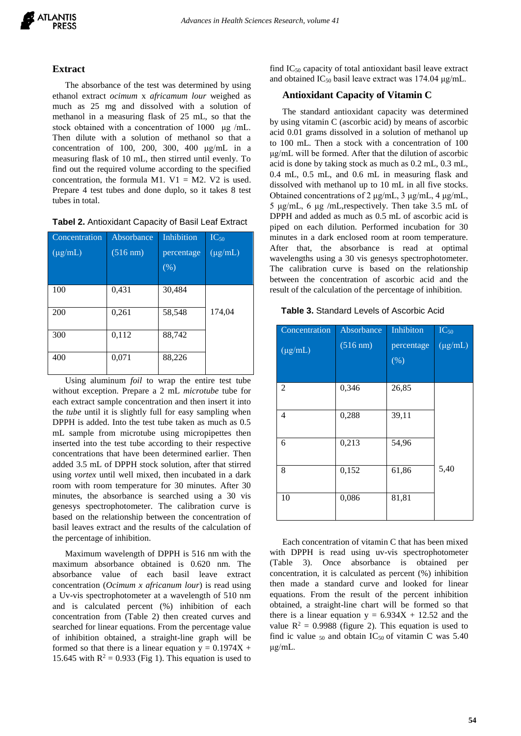

# **Extract**

The absorbance of the test was determined by using ethanol extract *ocimum* x *africamum lour* weighed as much as 25 mg and dissolved with a solution of methanol in a measuring flask of 25 mL, so that the stock obtained with a concentration of 1000 μg /mL. Then dilute with a solution of methanol so that a concentration of 100, 200, 300, 400 μg/mL in a measuring flask of 10 mL, then stirred until evenly. To find out the required volume according to the specified concentration, the formula M1. V1 = M2. V2 is used. Prepare 4 test tubes and done duplo, so it takes 8 test tubes in total.

| Tabel 2. Antioxidant Capacity of Basil Leaf Extract |  |  |  |
|-----------------------------------------------------|--|--|--|
|-----------------------------------------------------|--|--|--|

| Concentration | Absorbance         | Inhibition | $IC_{50}$    |
|---------------|--------------------|------------|--------------|
| $(\mu g/mL)$  | $(516 \text{ nm})$ | percentage | $(\mu g/mL)$ |
|               |                    | (% )       |              |
|               |                    |            |              |
| 100           | 0,431              | 30,484     |              |
| 200           | 0,261              | 58,548     | 174,04       |
| 300           | 0,112              | 88,742     |              |
| 400           | 0,071              | 88,226     |              |

Using aluminum *foil* to wrap the entire test tube without exception. Prepare a 2 mL *microtube* tube for each extract sample concentration and then insert it into the *tube* until it is slightly full for easy sampling when DPPH is added. Into the test tube taken as much as 0.5 mL sample from microtube using micropipettes then inserted into the test tube according to their respective concentrations that have been determined earlier. Then added 3.5 mL of DPPH stock solution, after that stirred using *vortex* until well mixed, then incubated in a dark room with room temperature for 30 minutes. After 30 minutes, the absorbance is searched using a 30 vis genesys spectrophotometer. The calibration curve is based on the relationship between the concentration of basil leaves extract and the results of the calculation of the percentage of inhibition.

Maximum wavelength of DPPH is 516 nm with the maximum absorbance obtained is 0.620 nm. The absorbance value of each basil leave extract concentration (*Ocimum x africanum lour*) is read using a Uv-vis spectrophotometer at a wavelength of 510 nm and is calculated percent (%) inhibition of each concentration from (Table 2) then created curves and searched for linear equations. From the percentage value of inhibition obtained, a straight-line graph will be formed so that there is a linear equation  $y = 0.1974X +$ 15.645 with  $R^2 = 0.933$  (Fig 1). This equation is used to

find  $IC_{50}$  capacity of total antioxidant basil leave extract and obtained IC<sub>50</sub> basil leave extract was 174.04  $\mu$ g/mL.

# **Antioxidant Capacity of Vitamin C**

The standard antioxidant capacity was determined by using vitamin C (ascorbic acid) by means of ascorbic acid 0.01 grams dissolved in a solution of methanol up to 100 mL. Then a stock with a concentration of 100 μg/mL will be formed. After that the dilution of ascorbic acid is done by taking stock as much as 0.2 mL, 0.3 mL, 0.4 mL, 0.5 mL, and 0.6 mL in measuring flask and dissolved with methanol up to 10 mL in all five stocks. Obtained concentrations of 2 μg/mL, 3 μg/mL, 4 μg/mL, 5 μg/mL, 6 μg /mL,respectively. Then take 3.5 mL of DPPH and added as much as 0.5 mL of ascorbic acid is piped on each dilution. Performed incubation for 30 minutes in a dark enclosed room at room temperature. After that, the absorbance is read at optimal wavelengths using a 30 vis genesys spectrophotometer. The calibration curve is based on the relationship between the concentration of ascorbic acid and the result of the calculation of the percentage of inhibition.

|  |  |  |  | <b>Table 3. Standard Levels of Ascorbic Acid</b> |
|--|--|--|--|--------------------------------------------------|
|--|--|--|--|--------------------------------------------------|

| Concentration           | Absorbance | Inhibiton                      | $IC_{50}$    |
|-------------------------|------------|--------------------------------|--------------|
| $\overline{(\mu g/mL)}$ | (516 nm)   | percentage<br>$\overline{(%)}$ | $(\mu g/mL)$ |
| 2                       | 0,346      | 26,85                          |              |
| 4                       | 0,288      | 39,11                          |              |
| 6                       | 0,213      | 54,96                          |              |
| 8                       | 0,152      | 61,86                          | 5,40         |
| 10                      | 0,086      | 81,81                          |              |

Each concentration of vitamin C that has been mixed with DPPH is read using uv-vis spectrophotometer (Table 3). Once absorbance is obtained per concentration, it is calculated as percent (%) inhibition then made a standard curve and looked for linear equations. From the result of the percent inhibition obtained, a straight-line chart will be formed so that there is a linear equation  $y = 6.934X + 12.52$  and the value  $R^2 = 0.9988$  (figure 2). This equation is used to find ic value  $_{50}$  and obtain IC<sub>50</sub> of vitamin C was 5.40 μg/mL.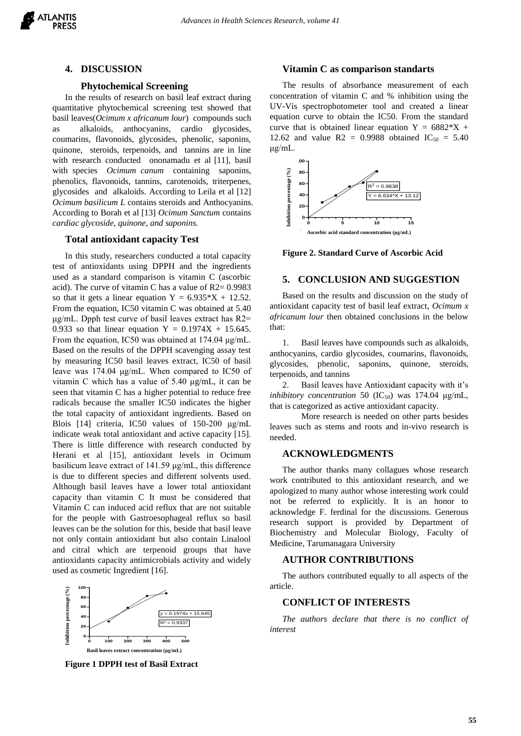#### **4. DISCUSSION**

## **Phytochemical Screening**

In the results of research on basil leaf extract during quantitative phytochemical screening test showed that basil leaves(*Ocimum x africanum lour*) compounds such as alkaloids, anthocyanins, cardio glycosides, coumarins, flavonoids, glycosides, phenolic, saponins, quinone, steroids, terpenoids, and tannins are in line with research conducted ononamadu et al [11], basil with species *Ocimum canum* containing saponins, phenolics, flavonoids, tannins, carotenoids, triterpenes, glycosides and alkaloids. According to Leila et al [12] *Ocimum basilicum L* contains steroids and Anthocyanins. According to Borah et al [13] *Ocimum Sanctum* contains *cardiac glycoside, quinone, and saponins.*

#### **Total antioxidant capacity Test**

In this study, researchers conducted a total capacity test of antioxidants using DPPH and the ingredients used as a standard comparison is vitamin C (ascorbic acid). The curve of vitamin C has a value of R2= 0.9983 so that it gets a linear equation  $Y = 6.935 \times X + 12.52$ . From the equation, IC50 vitamin C was obtained at 5.40 μg/mL. Dpph test curve of basil leaves extract has R2= 0.933 so that linear equation  $Y = 0.1974X + 15.645$ . From the equation, IC50 was obtained at 174.04 μg/mL. Based on the results of the DPPH scavenging assay test by measuring IC50 basil leaves extract, IC50 of basil leave was 174.04 μg/mL. When compared to IC50 of vitamin C which has a value of 5.40 μg/mL, it can be seen that vitamin C has a higher potential to reduce free radicals because the smaller IC50 indicates the higher the total capacity of antioxidant ingredients. Based on Blois [14] criteria, IC50 values of 150-200 μg/mL indicate weak total antioxidant and active capacity [15]. There is little difference with research conducted by Herani et al [15], antioxidant levels in Ocimum basilicum leave extract of 141.59 μg/mL, this difference is due to different species and different solvents used. Although basil leaves have a lower total antioxidant capacity than vitamin C It must be considered that Vitamin C can induced acid reflux that are not suitable for the people with Gastroesophageal reflux so basil leaves can be the solution for this, beside that basil leave not only contain antioxidant but also contain Linalool and citral which are terpenoid groups that have antioxidants capacity antimicrobials activity and widely used as cosmetic Ingredient [16].



**Figure 1 DPPH test of Basil Extract**

#### **Vitamin C as comparison standarts**

The results of absorbance measurement of each concentration of vitamin C and % inhibition using the UV-Vis spectrophotometer tool and created a linear equation curve to obtain the IC50. From the standard curve that is obtained linear equation  $Y = 6882 \times X + 1$ 12.62 and value  $R2 = 0.9988$  obtained  $IC_{50} = 5.40$ μg/mL.



**Figure 2. Standard Curve of Ascorbic Acid**

#### **5. CONCLUSION AND SUGGESTION**

Based on the results and discussion on the study of antioxidant capacity test of basil leaf extract, *Ocimum x africanum lour* then obtained conclusions in the below that:

1. Basil leaves have compounds such as alkaloids, anthocyanins, cardio glycosides, coumarins, flavonoids, glycosides, phenolic, saponins, quinone, steroids, terpenoids, and tannins

2. Basil leaves have Antioxidant capacity with it's *inhibitory concentration* 50  $(IC_{50})$  was 174.04  $\mu$ g/mL, that is categorized as active antioxidant capacity.

More research is needed on other parts besides leaves such as stems and roots and in-vivo research is needed.

#### **ACKNOWLEDGMENTS**

The author thanks many collagues whose research work contributed to this antioxidant research, and we apologized to many author whose interesting work could not be referred to explicitly. It is an honor to acknowledge F. ferdinal for the discussions. Generous research support is provided by Department of Biochemistry and Molecular Biology, Faculty of Medicine, Tarumanagara University

### **AUTHOR CONTRIBUTIONS**

The authors contributed equally to all aspects of the article.

# **CONFLICT OF INTERESTS**

*The authors declare that there is no conflict of interest*